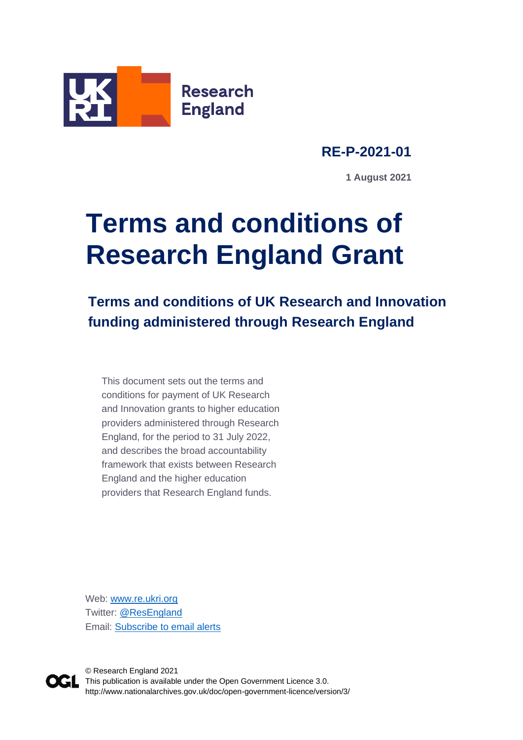

**RE-P-2021-01**

**1 August 2021**

# **Terms and conditions of Research England Grant**

**Terms and conditions of UK Research and Innovation funding administered through Research England** 

This document sets out the terms and conditions for payment of UK Research and Innovation grants to higher education providers administered through Research England, for the period to 31 July 2022, and describes the broad accountability framework that exists between Research England and the higher education providers that Research England funds.

Web: [www.re.ukri.org](http://www.re.ukri.org/) Twitter: [@ResEngland](https://twitter.com/ResEngland) Email: [Subscribe to email alerts](https://www.jiscmail.ac.uk/cgi-bin/webadmin?SUBED1=RESEARCH-ENGLAND-NEWS&A=1)



© Research England 2021 This publication is available under the Open Government Licence 3.0. http://www.nationalarchives.gov.uk/doc/open-government-licence/version/3/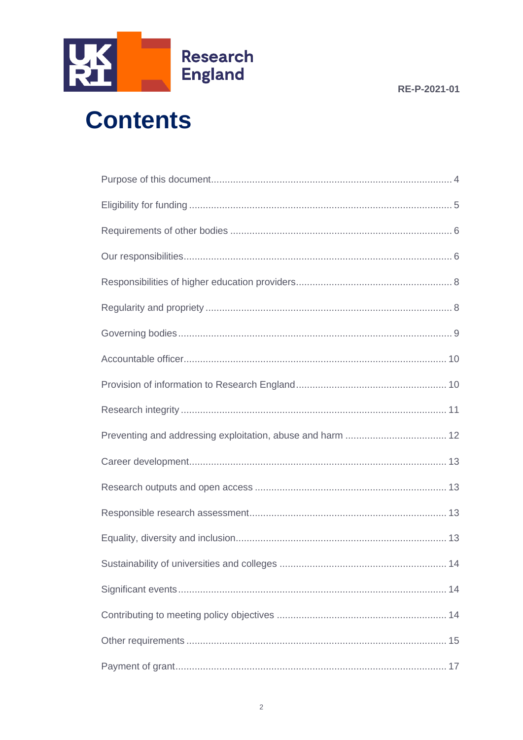

# **Contents**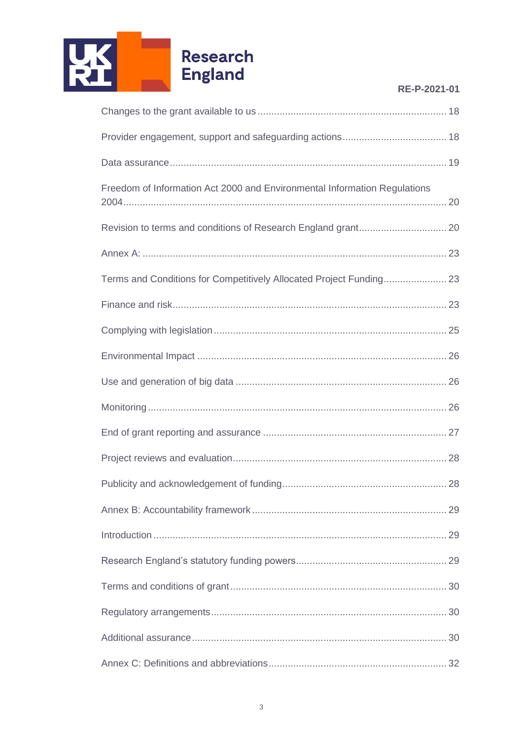

| RE-P-2021-01 |  |  |
|--------------|--|--|
|              |  |  |

| Freedom of Information Act 2000 and Environmental Information Regulations |  |
|---------------------------------------------------------------------------|--|
|                                                                           |  |
|                                                                           |  |
|                                                                           |  |
|                                                                           |  |
|                                                                           |  |
|                                                                           |  |
|                                                                           |  |
|                                                                           |  |
|                                                                           |  |
|                                                                           |  |
|                                                                           |  |
|                                                                           |  |
|                                                                           |  |
|                                                                           |  |
|                                                                           |  |
|                                                                           |  |
|                                                                           |  |
|                                                                           |  |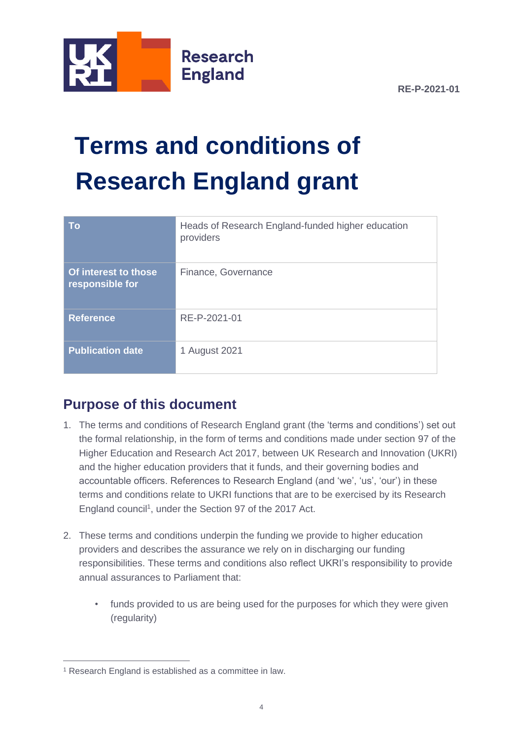

# **Terms and conditions of Research England grant**

| <b>To</b>                               | Heads of Research England-funded higher education<br>providers |
|-----------------------------------------|----------------------------------------------------------------|
| Of interest to those<br>responsible for | Finance, Governance                                            |
| <b>Reference</b>                        | RE-P-2021-01                                                   |
| <b>Publication date</b>                 | 1 August 2021                                                  |

# <span id="page-3-0"></span>**Purpose of this document**

- 1. The terms and conditions of Research England grant (the 'terms and conditions') set out the formal relationship, in the form of terms and conditions made under section 97 of the Higher Education and Research Act 2017, between UK Research and Innovation (UKRI) and the higher education providers that it funds, and their governing bodies and accountable officers. References to Research England (and 'we', 'us', 'our') in these terms and conditions relate to UKRI functions that are to be exercised by its Research England council<sup>1</sup>, under the Section 97 of the 2017 Act.
- 2. These terms and conditions underpin the funding we provide to higher education providers and describes the assurance we rely on in discharging our funding responsibilities. These terms and conditions also reflect UKRI's responsibility to provide annual assurances to Parliament that:
	- funds provided to us are being used for the purposes for which they were given (regularity)

<sup>1</sup> Research England is established as a committee in law.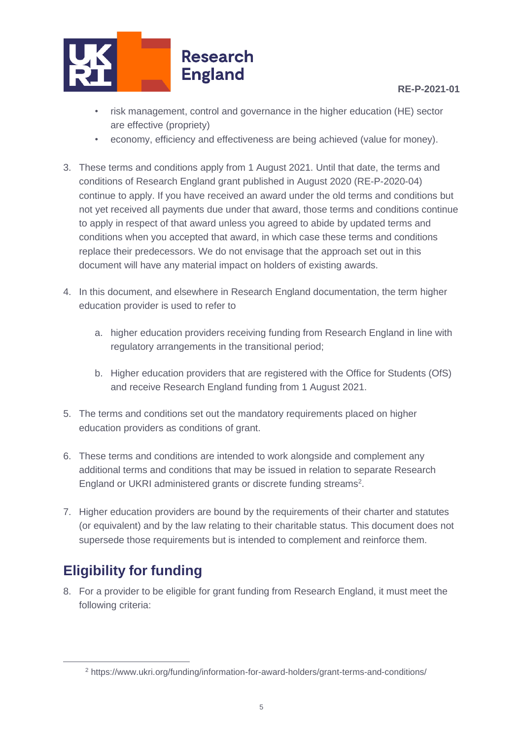

- risk management, control and governance in the higher education (HE) sector are effective (propriety)
- economy, efficiency and effectiveness are being achieved (value for money).
- 3. These terms and conditions apply from 1 August 2021. Until that date, the terms and conditions of Research England grant published in August 2020 (RE-P-2020-04) continue to apply. If you have received an award under the old terms and conditions but not yet received all payments due under that award, those terms and conditions continue to apply in respect of that award unless you agreed to abide by updated terms and conditions when you accepted that award, in which case these terms and conditions replace their predecessors. We do not envisage that the approach set out in this document will have any material impact on holders of existing awards.
- 4. In this document, and elsewhere in Research England documentation, the term higher education provider is used to refer to
	- a. higher education providers receiving funding from Research England in line with regulatory arrangements in the transitional period;
	- b. Higher education providers that are registered with the Office for Students (OfS) and receive Research England funding from 1 August 2021.
- 5. The terms and conditions set out the mandatory requirements placed on higher education providers as conditions of grant.
- 6. These terms and conditions are intended to work alongside and complement any additional terms and conditions that may be issued in relation to separate Research England or UKRI administered grants or discrete funding streams<sup>2</sup>.
- 7. Higher education providers are bound by the requirements of their charter and statutes (or equivalent) and by the law relating to their charitable status. This document does not supersede those requirements but is intended to complement and reinforce them.

# <span id="page-4-0"></span>**Eligibility for funding**

8. For a provider to be eligible for grant funding from Research England, it must meet the following criteria:

<sup>2</sup> https://www.ukri.org/funding/information-for-award-holders/grant-terms-and-conditions/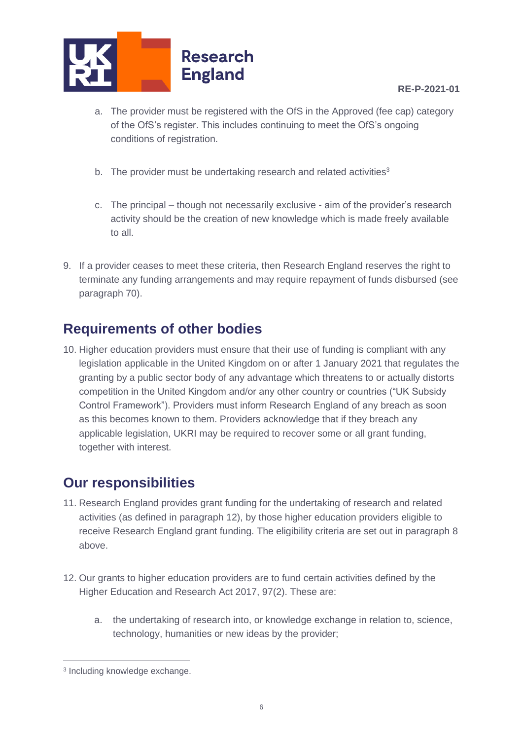

- a. The provider must be registered with the OfS in the Approved (fee cap) category of the OfS's register. This includes continuing to meet the OfS's ongoing conditions of registration.
- b. The provider must be undertaking research and related activities<sup>3</sup>
- c. The principal though not necessarily exclusive aim of the provider's research activity should be the creation of new knowledge which is made freely available to all.
- 9. If a provider ceases to meet these criteria, then Research England reserves the right to terminate any funding arrangements and may require repayment of funds disbursed (see paragraph 70).

# <span id="page-5-0"></span>**Requirements of other bodies**

10. Higher education providers must ensure that their use of funding is compliant with any legislation applicable in the United Kingdom on or after 1 January 2021 that regulates the granting by a public sector body of any advantage which threatens to or actually distorts competition in the United Kingdom and/or any other country or countries ("UK Subsidy Control Framework"). Providers must inform Research England of any breach as soon as this becomes known to them. Providers acknowledge that if they breach any applicable legislation, UKRI may be required to recover some or all grant funding, together with interest.

# <span id="page-5-1"></span>**Our responsibilities**

- 11. Research England provides grant funding for the undertaking of research and related activities (as defined in paragraph 12), by those higher education providers eligible to receive Research England grant funding. The eligibility criteria are set out in paragraph 8 above.
- 12. Our grants to higher education providers are to fund certain activities defined by the Higher Education and Research Act 2017, 97(2). These are:
	- a. the undertaking of research into, or knowledge exchange in relation to, science, technology, humanities or new ideas by the provider;

<sup>3</sup> Including knowledge exchange.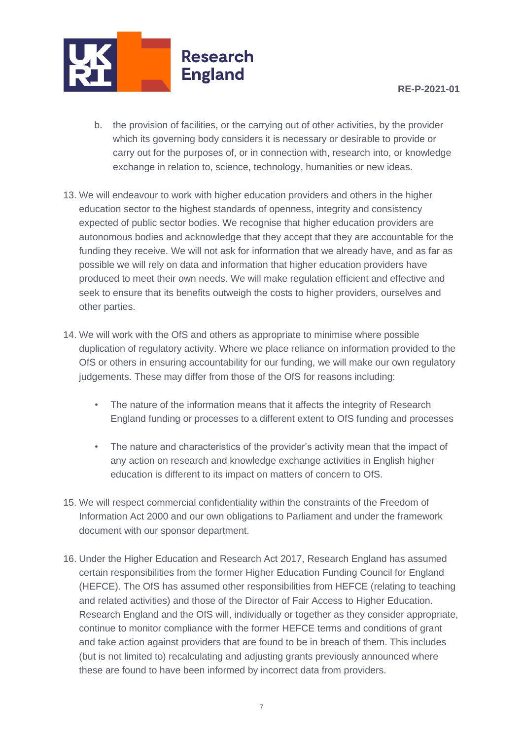

- b. the provision of facilities, or the carrying out of other activities, by the provider which its governing body considers it is necessary or desirable to provide or carry out for the purposes of, or in connection with, research into, or knowledge exchange in relation to, science, technology, humanities or new ideas.
- 13. We will endeavour to work with higher education providers and others in the higher education sector to the highest standards of openness, integrity and consistency expected of public sector bodies. We recognise that higher education providers are autonomous bodies and acknowledge that they accept that they are accountable for the funding they receive. We will not ask for information that we already have, and as far as possible we will rely on data and information that higher education providers have produced to meet their own needs. We will make regulation efficient and effective and seek to ensure that its benefits outweigh the costs to higher providers, ourselves and other parties.
- 14. We will work with the OfS and others as appropriate to minimise where possible duplication of regulatory activity. Where we place reliance on information provided to the OfS or others in ensuring accountability for our funding, we will make our own regulatory judgements. These may differ from those of the OfS for reasons including:
	- The nature of the information means that it affects the integrity of Research England funding or processes to a different extent to OfS funding and processes
	- The nature and characteristics of the provider's activity mean that the impact of any action on research and knowledge exchange activities in English higher education is different to its impact on matters of concern to OfS.
- 15. We will respect commercial confidentiality within the constraints of the Freedom of Information Act 2000 and our own obligations to Parliament and under the framework document with our sponsor department.
- 16. Under the Higher Education and Research Act 2017, Research England has assumed certain responsibilities from the former Higher Education Funding Council for England (HEFCE). The OfS has assumed other responsibilities from HEFCE (relating to teaching and related activities) and those of the Director of Fair Access to Higher Education. Research England and the OfS will, individually or together as they consider appropriate, continue to monitor compliance with the former HEFCE terms and conditions of grant and take action against providers that are found to be in breach of them. This includes (but is not limited to) recalculating and adjusting grants previously announced where these are found to have been informed by incorrect data from providers.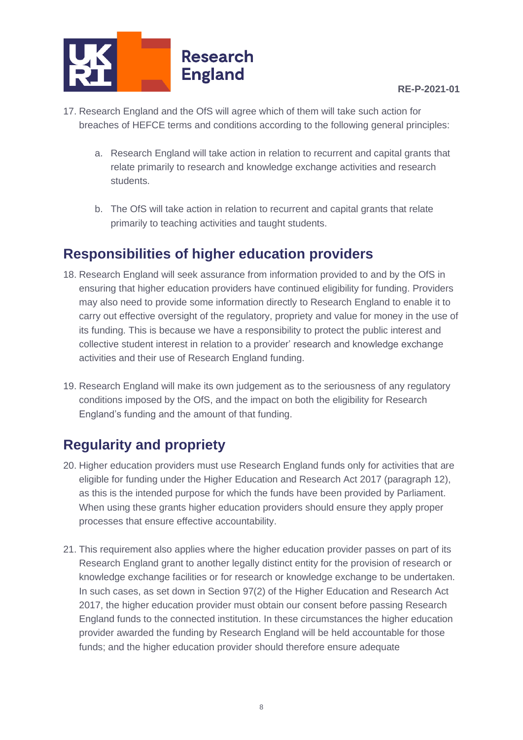

- 17. Research England and the OfS will agree which of them will take such action for breaches of HEFCE terms and conditions according to the following general principles:
	- a. Research England will take action in relation to recurrent and capital grants that relate primarily to research and knowledge exchange activities and research students.
	- b. The OfS will take action in relation to recurrent and capital grants that relate primarily to teaching activities and taught students.

# <span id="page-7-0"></span>**Responsibilities of higher education providers**

- 18. Research England will seek assurance from information provided to and by the OfS in ensuring that higher education providers have continued eligibility for funding. Providers may also need to provide some information directly to Research England to enable it to carry out effective oversight of the regulatory, propriety and value for money in the use of its funding. This is because we have a responsibility to protect the public interest and collective student interest in relation to a provider' research and knowledge exchange activities and their use of Research England funding.
- 19. Research England will make its own judgement as to the seriousness of any regulatory conditions imposed by the OfS, and the impact on both the eligibility for Research England's funding and the amount of that funding.

# <span id="page-7-1"></span>**Regularity and propriety**

- 20. Higher education providers must use Research England funds only for activities that are eligible for funding under the Higher Education and Research Act 2017 (paragraph 12), as this is the intended purpose for which the funds have been provided by Parliament. When using these grants higher education providers should ensure they apply proper processes that ensure effective accountability.
- 21. This requirement also applies where the higher education provider passes on part of its Research England grant to another legally distinct entity for the provision of research or knowledge exchange facilities or for research or knowledge exchange to be undertaken. In such cases, as set down in Section 97(2) of the Higher Education and Research Act 2017, the higher education provider must obtain our consent before passing Research England funds to the connected institution. In these circumstances the higher education provider awarded the funding by Research England will be held accountable for those funds; and the higher education provider should therefore ensure adequate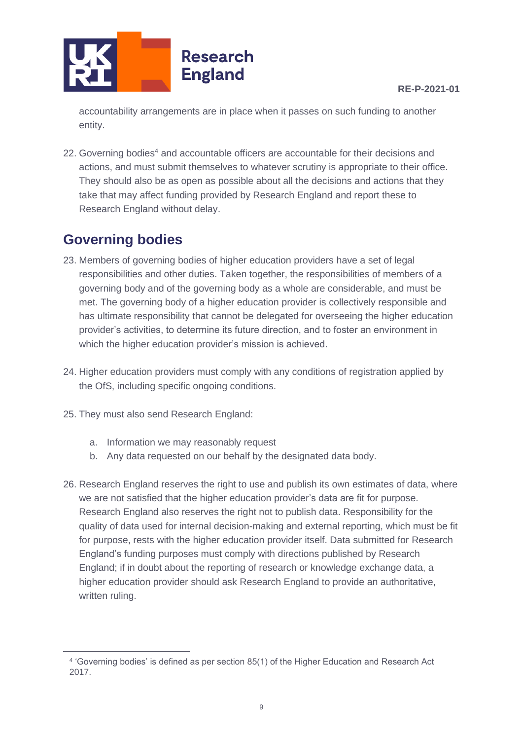

accountability arrangements are in place when it passes on such funding to another entity.

22. Governing bodies<sup>4</sup> and accountable officers are accountable for their decisions and actions, and must submit themselves to whatever scrutiny is appropriate to their office. They should also be as open as possible about all the decisions and actions that they take that may affect funding provided by Research England and report these to Research England without delay.

# <span id="page-8-0"></span>**Governing bodies**

- 23. Members of governing bodies of higher education providers have a set of legal responsibilities and other duties. Taken together, the responsibilities of members of a governing body and of the governing body as a whole are considerable, and must be met. The governing body of a higher education provider is collectively responsible and has ultimate responsibility that cannot be delegated for overseeing the higher education provider's activities, to determine its future direction, and to foster an environment in which the higher education provider's mission is achieved.
- 24. Higher education providers must comply with any conditions of registration applied by the OfS, including specific ongoing conditions.
- 25. They must also send Research England:
	- a. Information we may reasonably request
	- b. Any data requested on our behalf by the designated data body.
- 26. Research England reserves the right to use and publish its own estimates of data, where we are not satisfied that the higher education provider's data are fit for purpose. Research England also reserves the right not to publish data. Responsibility for the quality of data used for internal decision-making and external reporting, which must be fit for purpose, rests with the higher education provider itself. Data submitted for Research England's funding purposes must comply with directions published by Research England; if in doubt about the reporting of research or knowledge exchange data, a higher education provider should ask Research England to provide an authoritative, written ruling.

<sup>4</sup> 'Governing bodies' is defined as per section 85(1) of the Higher Education and Research Act 2017.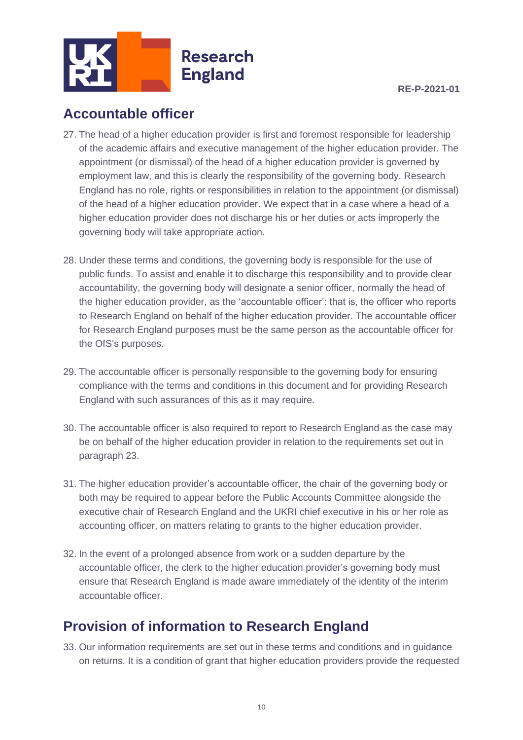

# <span id="page-9-0"></span>**Accountable officer**

- 27. The head of a higher education provider is first and foremost responsible for leadership of the academic affairs and executive management of the higher education provider. The appointment (or dismissal) of the head of a higher education provider is governed by employment law, and this is clearly the responsibility of the governing body. Research England has no role, rights or responsibilities in relation to the appointment (or dismissal) of the head of a higher education provider. We expect that in a case where a head of a higher education provider does not discharge his or her duties or acts improperly the governing body will take appropriate action.
- 28. Under these terms and conditions, the governing body is responsible for the use of public funds. To assist and enable it to discharge this responsibility and to provide clear accountability, the governing body will designate a senior officer, normally the head of the higher education provider, as the 'accountable officer': that is, the officer who reports to Research England on behalf of the higher education provider. The accountable officer for Research England purposes must be the same person as the accountable officer for the OfS's purposes.
- 29. The accountable officer is personally responsible to the governing body for ensuring compliance with the terms and conditions in this document and for providing Research England with such assurances of this as it may require.
- 30. The accountable officer is also required to report to Research England as the case may be on behalf of the higher education provider in relation to the requirements set out in paragraph 23.
- 31. The higher education provider's accountable officer, the chair of the governing body or both may be required to appear before the Public Accounts Committee alongside the executive chair of Research England and the UKRI chief executive in his or her role as accounting officer, on matters relating to grants to the higher education provider.
- 32. In the event of a prolonged absence from work or a sudden departure by the accountable officer, the clerk to the higher education provider's governing body must ensure that Research England is made aware immediately of the identity of the interim accountable officer.

# <span id="page-9-1"></span>**Provision of information to Research England**

33. Our information requirements are set out in these terms and conditions and in guidance on returns. It is a condition of grant that higher education providers provide the requested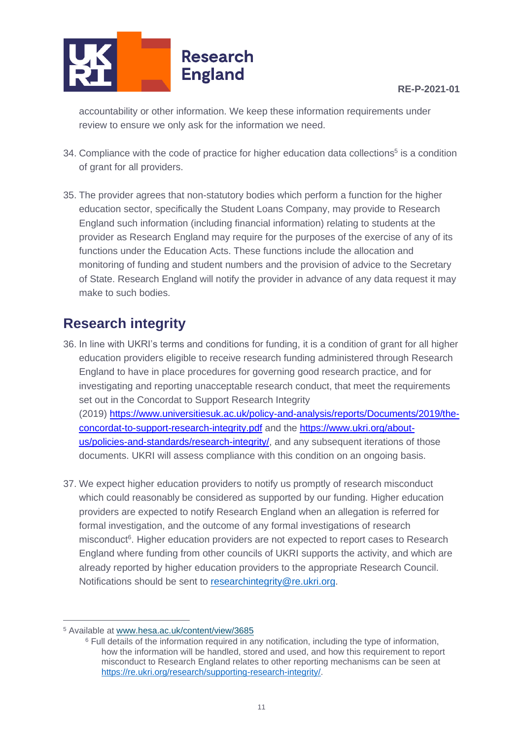

accountability or other information. We keep these information requirements under review to ensure we only ask for the information we need.

- 34. Compliance with the code of practice for higher education data collections<sup>5</sup> is a condition of grant for all providers.
- 35. The provider agrees that non-statutory bodies which perform a function for the higher education sector, specifically the Student Loans Company, may provide to Research England such information (including financial information) relating to students at the provider as Research England may require for the purposes of the exercise of any of its functions under the Education Acts. These functions include the allocation and monitoring of funding and student numbers and the provision of advice to the Secretary of State. Research England will notify the provider in advance of any data request it may make to such bodies.

# <span id="page-10-0"></span>**Research integrity**

- 36. In line with UKRI's terms and conditions for funding, it is a condition of grant for all higher education providers eligible to receive research funding administered through Research England to have in place procedures for governing good research practice, and for investigating and reporting unacceptable research conduct, that meet the requirements set out in the Concordat to Support Research Integrity (2019) [https://www.universitiesuk.ac.uk/policy-and-analysis/reports/Documents/2019/the](https://www.universitiesuk.ac.uk/policy-and-analysis/reports/Documents/2019/the-concordat-to-support-research-integrity.pdf)[concordat-to-support-research-integrity.pdf](https://www.universitiesuk.ac.uk/policy-and-analysis/reports/Documents/2019/the-concordat-to-support-research-integrity.pdf) and the [https://www.ukri.org/about](https://www.ukri.org/about-us/policies-and-standards/research-integrity/)[us/policies-and-standards/research-integrity/,](https://www.ukri.org/about-us/policies-and-standards/research-integrity/) and any subsequent iterations of those documents. UKRI will assess compliance with this condition on an ongoing basis.
- 37. We expect higher education providers to notify us promptly of research misconduct which could reasonably be considered as supported by our funding. Higher education providers are expected to notify Research England when an allegation is referred for formal investigation, and the outcome of any formal investigations of research misconduct<sup>6</sup>. Higher education providers are not expected to report cases to Research England where funding from other councils of UKRI supports the activity, and which are already reported by higher education providers to the appropriate Research Council. Notifications should be sent to [researchintegrity@re.ukri.org.](mailto:researchintegrity@re.ukri.org)

<sup>5</sup> Available at [www.hesa.ac.uk/content/view/3685](https://www.hesa.ac.uk/content/view/3685)

<sup>6</sup> Full details of the information required in any notification, including the type of information, how the information will be handled, stored and used, and how this requirement to report misconduct to Research England relates to other reporting mechanisms can be seen at [https://re.ukri.org/research/supporting-research-integrity/.](https://re.ukri.org/research/supporting-research-integrity/)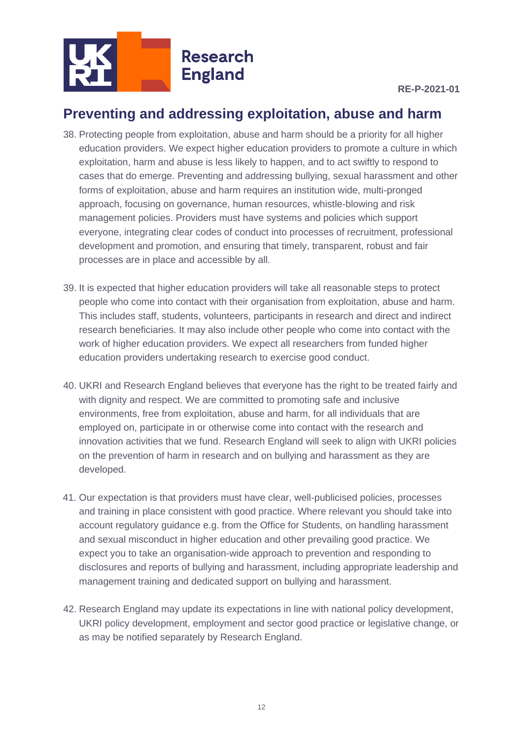

# <span id="page-11-0"></span>**Preventing and addressing exploitation, abuse and harm**

- 38. Protecting people from exploitation, abuse and harm should be a priority for all higher education providers. We expect higher education providers to promote a culture in which exploitation, harm and abuse is less likely to happen, and to act swiftly to respond to cases that do emerge. Preventing and addressing bullying, sexual harassment and other forms of exploitation, abuse and harm requires an institution wide, multi-pronged approach, focusing on governance, human resources, whistle-blowing and risk management policies. Providers must have systems and policies which support everyone, integrating clear codes of conduct into processes of recruitment, professional development and promotion, and ensuring that timely, transparent, robust and fair processes are in place and accessible by all.
- 39. It is expected that higher education providers will take all reasonable steps to protect people who come into contact with their organisation from exploitation, abuse and harm. This includes staff, students, volunteers, participants in research and direct and indirect research beneficiaries. It may also include other people who come into contact with the work of higher education providers. We expect all researchers from funded higher education providers undertaking research to exercise good conduct.
- 40. UKRI and Research England believes that everyone has the right to be treated fairly and with dignity and respect. We are committed to promoting safe and inclusive environments, free from exploitation, abuse and harm, for all individuals that are employed on, participate in or otherwise come into contact with the research and innovation activities that we fund. Research England will seek to align with UKRI policies on the prevention of harm in research and on bullying and harassment as they are developed.
- 41. Our expectation is that providers must have clear, well-publicised policies, processes and training in place consistent with good practice. Where relevant you should take into account regulatory guidance e.g. from the Office for Students, on handling harassment and sexual misconduct in higher education and other prevailing good practice. We expect you to take an organisation-wide approach to prevention and responding to disclosures and reports of bullying and harassment, including appropriate leadership and management training and dedicated support on bullying and harassment.
- 42. Research England may update its expectations in line with national policy development, UKRI policy development, employment and sector good practice or legislative change, or as may be notified separately by Research England.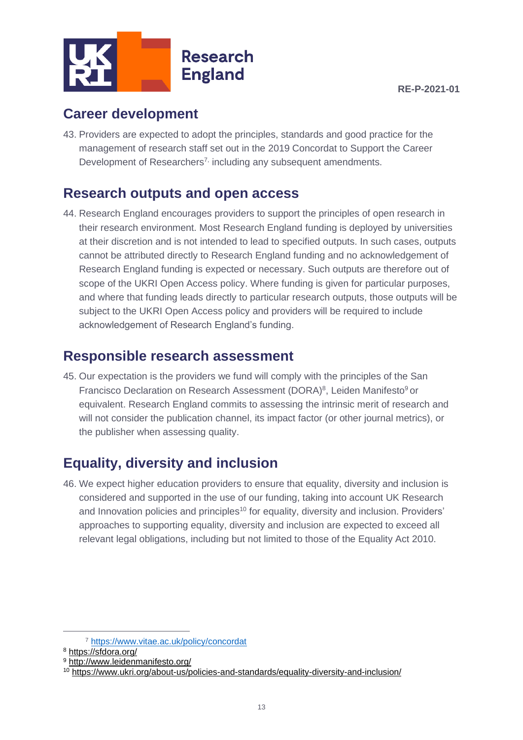

### <span id="page-12-0"></span>**Career development**

43. Providers are expected to adopt the principles, standards and good practice for the management of research staff set out in the 2019 Concordat to Support the Career Development of Researchers<sup>7,</sup> including any subsequent amendments.

### <span id="page-12-1"></span>**Research outputs and open access**

44. Research England encourages providers to support the principles of open research in their research environment. Most Research England funding is deployed by universities at their discretion and is not intended to lead to specified outputs. In such cases, outputs cannot be attributed directly to Research England funding and no acknowledgement of Research England funding is expected or necessary. Such outputs are therefore out of scope of the UKRI Open Access policy. Where funding is given for particular purposes, and where that funding leads directly to particular research outputs, those outputs will be subject to the UKRI Open Access policy and providers will be required to include acknowledgement of Research England's funding.

### <span id="page-12-2"></span>**Responsible research assessment**

45. Our expectation is the providers we fund will comply with the principles of the San Francisco Declaration on Research Assessment (DORA)<sup>8</sup>, Leiden Manifesto<sup>9</sup> or equivalent. Research England commits to assessing the intrinsic merit of research and will not consider the publication channel, its impact factor (or other journal metrics), or the publisher when assessing quality.

# <span id="page-12-3"></span>**Equality, diversity and inclusion**

46. We expect higher education providers to ensure that equality, diversity and inclusion is considered and supported in the use of our funding, taking into account UK Research and Innovation policies and principles<sup>10</sup> for equality, diversity and inclusion. Providers' approaches to supporting equality, diversity and inclusion are expected to exceed all relevant legal obligations, including but not limited to those of the Equality Act 2010.

<sup>7</sup> <https://www.vitae.ac.uk/policy/concordat>

<sup>8</sup> <https://sfdora.org/>

<sup>9</sup> <http://www.leidenmanifesto.org/>

<sup>10</sup> <https://www.ukri.org/about-us/policies-and-standards/equality-diversity-and-inclusion/>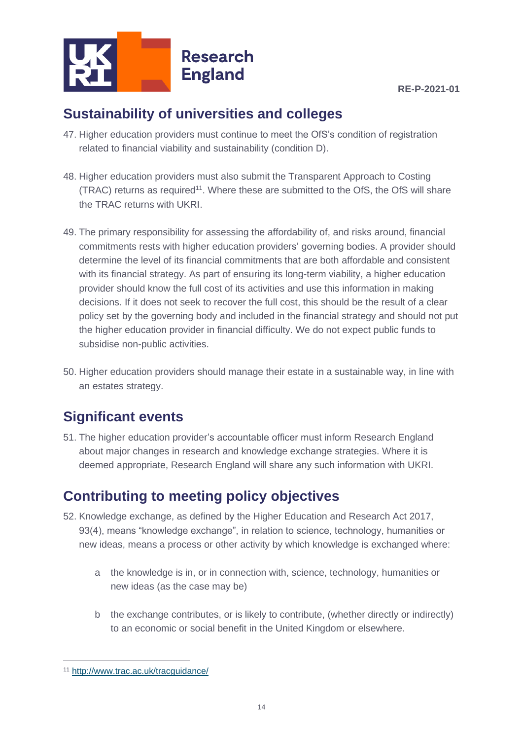

# <span id="page-13-0"></span>**Sustainability of universities and colleges**

- 47. Higher education providers must continue to meet the OfS's condition of registration related to financial viability and sustainability (condition D).
- 48. Higher education providers must also submit the Transparent Approach to Costing (TRAC) returns as required<sup>11</sup>. Where these are submitted to the OfS, the OfS will share the TRAC returns with UKRI.
- 49. The primary responsibility for assessing the affordability of, and risks around, financial commitments rests with higher education providers' governing bodies. A provider should determine the level of its financial commitments that are both affordable and consistent with its financial strategy. As part of ensuring its long-term viability, a higher education provider should know the full cost of its activities and use this information in making decisions. If it does not seek to recover the full cost, this should be the result of a clear policy set by the governing body and included in the financial strategy and should not put the higher education provider in financial difficulty. We do not expect public funds to subsidise non-public activities.
- 50. Higher education providers should manage their estate in a sustainable way, in line with an estates strategy.

# <span id="page-13-1"></span>**Significant events**

51. The higher education provider's accountable officer must inform Research England about major changes in research and knowledge exchange strategies. Where it is deemed appropriate, Research England will share any such information with UKRI.

# <span id="page-13-2"></span>**Contributing to meeting policy objectives**

- 52. Knowledge exchange, as defined by the Higher Education and Research Act 2017, 93(4), means "knowledge exchange", in relation to science, technology, humanities or new ideas, means a process or other activity by which knowledge is exchanged where:
	- a the knowledge is in, or in connection with, science, technology, humanities or new ideas (as the case may be)
	- b the exchange contributes, or is likely to contribute, (whether directly or indirectly) to an economic or social benefit in the United Kingdom or elsewhere.

<sup>11</sup> http://www.trac.ac.uk/tracguidance/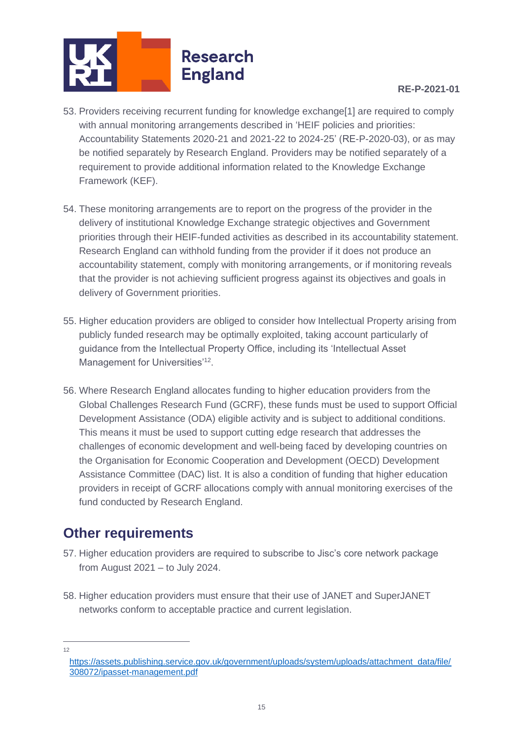

- 53. Providers receiving recurrent funding for knowledge exchange[1] are required to comply with annual monitoring arrangements described in 'HEIF policies and priorities: Accountability Statements 2020-21 and 2021-22 to 2024-25' (RE-P-2020-03), or as may be notified separately by Research England. Providers may be notified separately of a requirement to provide additional information related to the Knowledge Exchange Framework (KEF).
- 54. These monitoring arrangements are to report on the progress of the provider in the delivery of institutional Knowledge Exchange strategic objectives and Government priorities through their HEIF-funded activities as described in its accountability statement. Research England can withhold funding from the provider if it does not produce an accountability statement, comply with monitoring arrangements, or if monitoring reveals that the provider is not achieving sufficient progress against its objectives and goals in delivery of Government priorities.
- 55. Higher education providers are obliged to consider how Intellectual Property arising from publicly funded research may be optimally exploited, taking account particularly of guidance from the Intellectual Property Office, including its 'Intellectual Asset Management for Universities'<sup>12</sup>.
- 56. Where Research England allocates funding to higher education providers from the Global Challenges Research Fund (GCRF), these funds must be used to support Official Development Assistance (ODA) eligible activity and is subject to additional conditions. This means it must be used to support cutting edge research that addresses the challenges of economic development and well-being faced by developing countries on the Organisation for Economic Cooperation and Development (OECD) Development Assistance Committee (DAC) list. It is also a condition of funding that higher education providers in receipt of GCRF allocations comply with annual monitoring exercises of the fund conducted by Research England.

# <span id="page-14-0"></span>**Other requirements**

- 57. Higher education providers are required to subscribe to Jisc's core network package from August 2021 – to July 2024.
- 58. Higher education providers must ensure that their use of JANET and SuperJANET networks conform to acceptable practice and current legislation.

12

[https://assets.publishing.service.gov.uk/government/uploads/system/uploads/attachment\\_data/file/](https://assets.publishing.service.gov.uk/government/uploads/system/uploads/attachment_data/file/308072/ipasset-management.pdf) [308072/ipasset-management.pdf](https://assets.publishing.service.gov.uk/government/uploads/system/uploads/attachment_data/file/308072/ipasset-management.pdf)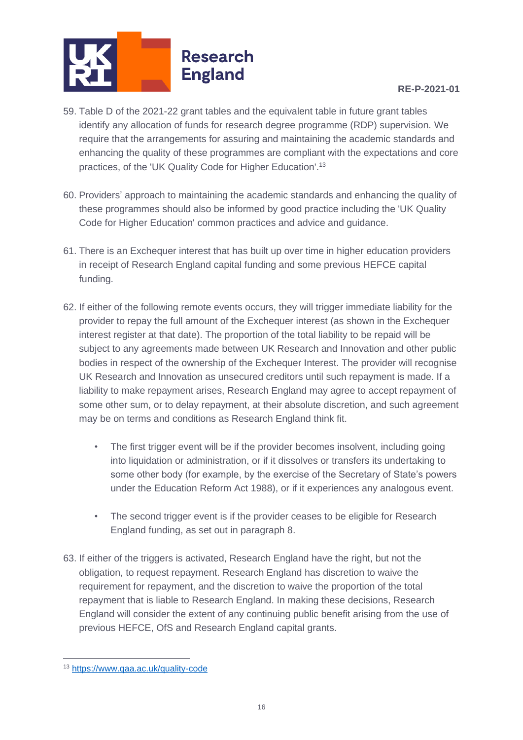

#### **RE-P-2021-01**

- 59. Table D of the 2021-22 grant tables and the equivalent table in future grant tables identify any allocation of funds for research degree programme (RDP) supervision. We require that the arrangements for assuring and maintaining the academic standards and enhancing the quality of these programmes are compliant with the expectations and core practices, of the 'UK Quality Code for Higher Education'.<sup>13</sup>
- 60. Providers' approach to maintaining the academic standards and enhancing the quality of these programmes should also be informed by good practice including the 'UK Quality Code for Higher Education' common practices and advice and guidance.
- 61. There is an Exchequer interest that has built up over time in higher education providers in receipt of Research England capital funding and some previous HEFCE capital funding.
- 62. If either of the following remote events occurs, they will trigger immediate liability for the provider to repay the full amount of the Exchequer interest (as shown in the Exchequer interest register at that date). The proportion of the total liability to be repaid will be subject to any agreements made between UK Research and Innovation and other public bodies in respect of the ownership of the Exchequer Interest. The provider will recognise UK Research and Innovation as unsecured creditors until such repayment is made. If a liability to make repayment arises, Research England may agree to accept repayment of some other sum, or to delay repayment, at their absolute discretion, and such agreement may be on terms and conditions as Research England think fit.
	- The first trigger event will be if the provider becomes insolvent, including going into liquidation or administration, or if it dissolves or transfers its undertaking to some other body (for example, by the exercise of the Secretary of State's powers under the Education Reform Act 1988), or if it experiences any analogous event.
	- The second trigger event is if the provider ceases to be eligible for Research England funding, as set out in paragraph 8.
- 63. If either of the triggers is activated, Research England have the right, but not the obligation, to request repayment. Research England has discretion to waive the requirement for repayment, and the discretion to waive the proportion of the total repayment that is liable to Research England. In making these decisions, Research England will consider the extent of any continuing public benefit arising from the use of previous HEFCE, OfS and Research England capital grants.

<sup>13</sup> <https://www.qaa.ac.uk/quality-code>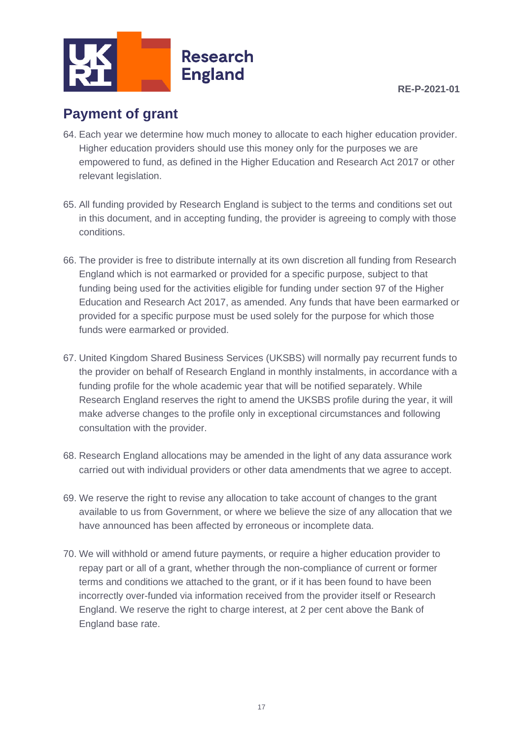

### <span id="page-16-0"></span>**Payment of grant**

- 64. Each year we determine how much money to allocate to each higher education provider. Higher education providers should use this money only for the purposes we are empowered to fund, as defined in the Higher Education and Research Act 2017 or other relevant legislation.
- 65. All funding provided by Research England is subject to the terms and conditions set out in this document, and in accepting funding, the provider is agreeing to comply with those conditions.
- 66. The provider is free to distribute internally at its own discretion all funding from Research England which is not earmarked or provided for a specific purpose, subject to that funding being used for the activities eligible for funding under section 97 of the Higher Education and Research Act 2017, as amended. Any funds that have been earmarked or provided for a specific purpose must be used solely for the purpose for which those funds were earmarked or provided.
- 67. United Kingdom Shared Business Services (UKSBS) will normally pay recurrent funds to the provider on behalf of Research England in monthly instalments, in accordance with a funding profile for the whole academic year that will be notified separately. While Research England reserves the right to amend the UKSBS profile during the year, it will make adverse changes to the profile only in exceptional circumstances and following consultation with the provider.
- 68. Research England allocations may be amended in the light of any data assurance work carried out with individual providers or other data amendments that we agree to accept.
- 69. We reserve the right to revise any allocation to take account of changes to the grant available to us from Government, or where we believe the size of any allocation that we have announced has been affected by erroneous or incomplete data.
- 70. We will withhold or amend future payments, or require a higher education provider to repay part or all of a grant, whether through the non-compliance of current or former terms and conditions we attached to the grant, or if it has been found to have been incorrectly over-funded via information received from the provider itself or Research England. We reserve the right to charge interest, at 2 per cent above the Bank of England base rate.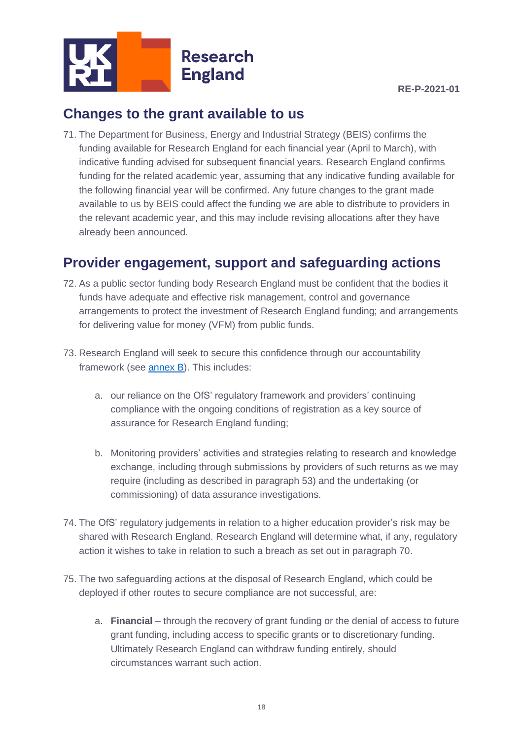

# <span id="page-17-0"></span>**Changes to the grant available to us**

71. The Department for Business, Energy and Industrial Strategy (BEIS) confirms the funding available for Research England for each financial year (April to March), with indicative funding advised for subsequent financial years. Research England confirms funding for the related academic year, assuming that any indicative funding available for the following financial year will be confirmed. Any future changes to the grant made available to us by BEIS could affect the funding we are able to distribute to providers in the relevant academic year, and this may include revising allocations after they have already been announced.

# <span id="page-17-1"></span>**Provider engagement, support and safeguarding actions**

- 72. As a public sector funding body Research England must be confident that the bodies it funds have adequate and effective risk management, control and governance arrangements to protect the investment of Research England funding; and arrangements for delivering value for money (VFM) from public funds.
- 73. Research England will seek to secure this confidence through our accountability framework (see [annex B\)](#page-28-0). This includes:
	- a. our reliance on the OfS' regulatory framework and providers' continuing compliance with the ongoing conditions of registration as a key source of assurance for Research England funding;
	- b. Monitoring providers' activities and strategies relating to research and knowledge exchange, including through submissions by providers of such returns as we may require (including as described in paragraph 53) and the undertaking (or commissioning) of data assurance investigations.
- 74. The OfS' regulatory judgements in relation to a higher education provider's risk may be shared with Research England. Research England will determine what, if any, regulatory action it wishes to take in relation to such a breach as set out in paragraph 70.
- 75. The two safeguarding actions at the disposal of Research England, which could be deployed if other routes to secure compliance are not successful, are:
	- a. **Financial** through the recovery of grant funding or the denial of access to future grant funding, including access to specific grants or to discretionary funding. Ultimately Research England can withdraw funding entirely, should circumstances warrant such action.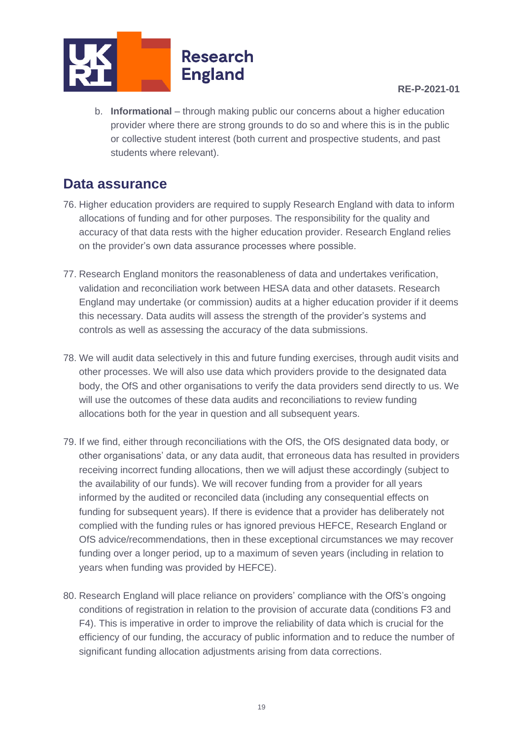

#### **RE-P-2021-01**

b. **Informational** – through making public our concerns about a higher education provider where there are strong grounds to do so and where this is in the public or collective student interest (both current and prospective students, and past students where relevant).

### <span id="page-18-0"></span>**Data assurance**

- 76. Higher education providers are required to supply Research England with data to inform allocations of funding and for other purposes. The responsibility for the quality and accuracy of that data rests with the higher education provider. Research England relies on the provider's own data assurance processes where possible.
- 77. Research England monitors the reasonableness of data and undertakes verification, validation and reconciliation work between HESA data and other datasets. Research England may undertake (or commission) audits at a higher education provider if it deems this necessary. Data audits will assess the strength of the provider's systems and controls as well as assessing the accuracy of the data submissions.
- 78. We will audit data selectively in this and future funding exercises, through audit visits and other processes. We will also use data which providers provide to the designated data body, the OfS and other organisations to verify the data providers send directly to us. We will use the outcomes of these data audits and reconciliations to review funding allocations both for the year in question and all subsequent years.
- 79. If we find, either through reconciliations with the OfS, the OfS designated data body, or other organisations' data, or any data audit, that erroneous data has resulted in providers receiving incorrect funding allocations, then we will adjust these accordingly (subject to the availability of our funds). We will recover funding from a provider for all years informed by the audited or reconciled data (including any consequential effects on funding for subsequent years). If there is evidence that a provider has deliberately not complied with the funding rules or has ignored previous HEFCE, Research England or OfS advice/recommendations, then in these exceptional circumstances we may recover funding over a longer period, up to a maximum of seven years (including in relation to years when funding was provided by HEFCE).
- 80. Research England will place reliance on providers' compliance with the OfS's ongoing conditions of registration in relation to the provision of accurate data (conditions F3 and F4). This is imperative in order to improve the reliability of data which is crucial for the efficiency of our funding, the accuracy of public information and to reduce the number of significant funding allocation adjustments arising from data corrections.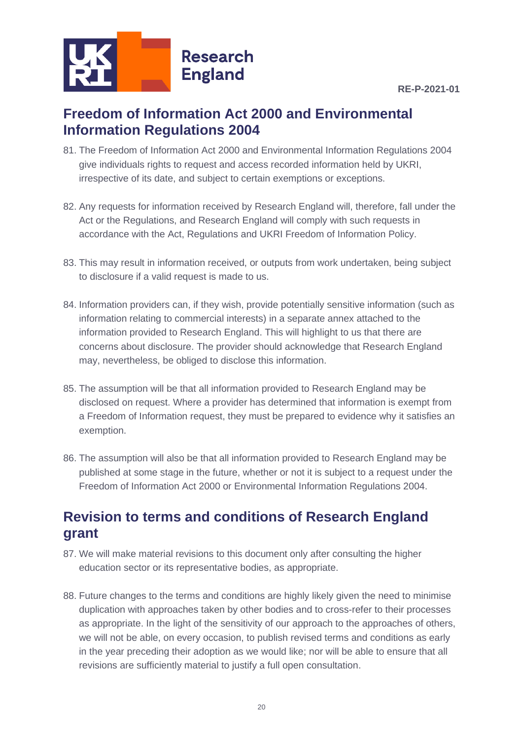

### <span id="page-19-0"></span>**Freedom of Information Act 2000 and Environmental Information Regulations 2004**

- 81. The Freedom of Information Act 2000 and Environmental Information Regulations 2004 give individuals rights to request and access recorded information held by UKRI, irrespective of its date, and subject to certain exemptions or exceptions.
- 82. Any requests for information received by Research England will, therefore, fall under the Act or the Regulations, and Research England will comply with such requests in accordance with the Act, Regulations and UKRI Freedom of Information Policy.
- 83. This may result in information received, or outputs from work undertaken, being subject to disclosure if a valid request is made to us.
- 84. Information providers can, if they wish, provide potentially sensitive information (such as information relating to commercial interests) in a separate annex attached to the information provided to Research England. This will highlight to us that there are concerns about disclosure. The provider should acknowledge that Research England may, nevertheless, be obliged to disclose this information.
- 85. The assumption will be that all information provided to Research England may be disclosed on request. Where a provider has determined that information is exempt from a Freedom of Information request, they must be prepared to evidence why it satisfies an exemption.
- 86. The assumption will also be that all information provided to Research England may be published at some stage in the future, whether or not it is subject to a request under the Freedom of Information Act 2000 or Environmental Information Regulations 2004.

# <span id="page-19-1"></span>**Revision to terms and conditions of Research England grant**

- 87. We will make material revisions to this document only after consulting the higher education sector or its representative bodies, as appropriate.
- 88. Future changes to the terms and conditions are highly likely given the need to minimise duplication with approaches taken by other bodies and to cross-refer to their processes as appropriate. In the light of the sensitivity of our approach to the approaches of others, we will not be able, on every occasion, to publish revised terms and conditions as early in the year preceding their adoption as we would like; nor will be able to ensure that all revisions are sufficiently material to justify a full open consultation.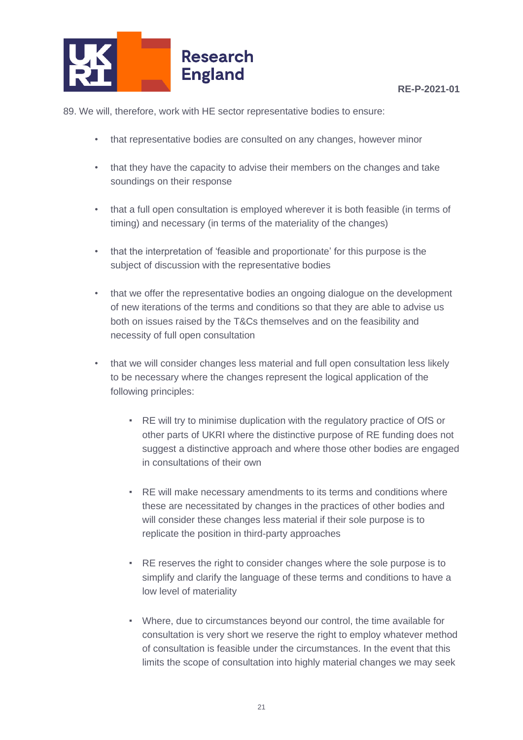

89. We will, therefore, work with HE sector representative bodies to ensure:

- that representative bodies are consulted on any changes, however minor
- that they have the capacity to advise their members on the changes and take soundings on their response
- that a full open consultation is employed wherever it is both feasible (in terms of timing) and necessary (in terms of the materiality of the changes)
- that the interpretation of 'feasible and proportionate' for this purpose is the subject of discussion with the representative bodies
- that we offer the representative bodies an ongoing dialogue on the development of new iterations of the terms and conditions so that they are able to advise us both on issues raised by the T&Cs themselves and on the feasibility and necessity of full open consultation
- that we will consider changes less material and full open consultation less likely to be necessary where the changes represent the logical application of the following principles:
	- RE will try to minimise duplication with the regulatory practice of OfS or other parts of UKRI where the distinctive purpose of RE funding does not suggest a distinctive approach and where those other bodies are engaged in consultations of their own
	- **RE will make necessary amendments to its terms and conditions where** these are necessitated by changes in the practices of other bodies and will consider these changes less material if their sole purpose is to replicate the position in third-party approaches
	- RE reserves the right to consider changes where the sole purpose is to simplify and clarify the language of these terms and conditions to have a low level of materiality
	- Where, due to circumstances beyond our control, the time available for consultation is very short we reserve the right to employ whatever method of consultation is feasible under the circumstances. In the event that this limits the scope of consultation into highly material changes we may seek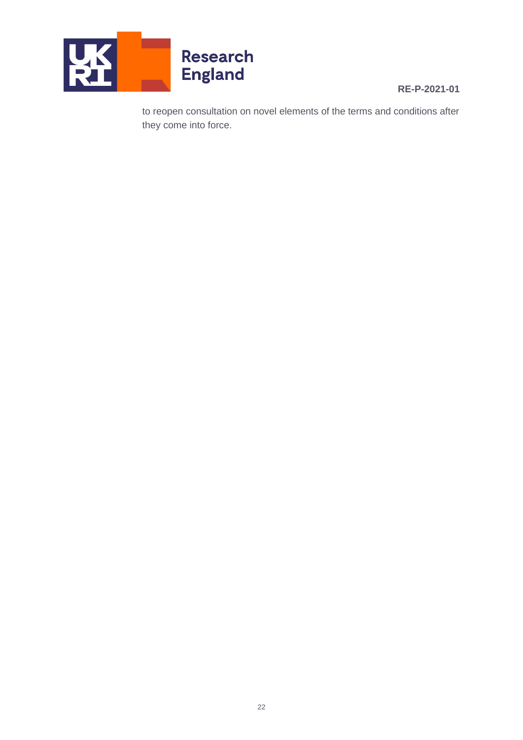

#### **RE-P-2021-01**

to reopen consultation on novel elements of the terms and conditions after they come into force.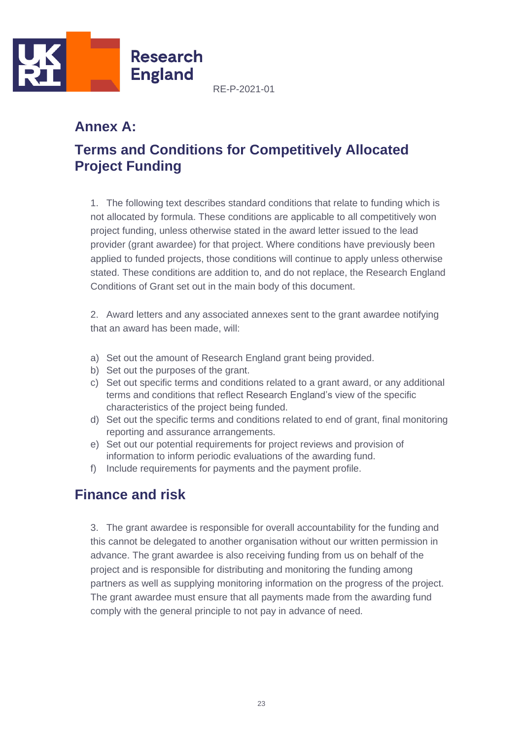

### <span id="page-22-0"></span>**Annex A:**

# <span id="page-22-1"></span>**Terms and Conditions for Competitively Allocated Project Funding**

1. The following text describes standard conditions that relate to funding which is not allocated by formula. These conditions are applicable to all competitively won project funding, unless otherwise stated in the award letter issued to the lead provider (grant awardee) for that project. Where conditions have previously been applied to funded projects, those conditions will continue to apply unless otherwise stated. These conditions are addition to, and do not replace, the Research England Conditions of Grant set out in the main body of this document.

2. Award letters and any associated annexes sent to the grant awardee notifying that an award has been made, will:

- a) Set out the amount of Research England grant being provided.
- b) Set out the purposes of the grant.
- c) Set out specific terms and conditions related to a grant award, or any additional terms and conditions that reflect Research England's view of the specific characteristics of the project being funded.
- d) Set out the specific terms and conditions related to end of grant, final monitoring reporting and assurance arrangements.
- e) Set out our potential requirements for project reviews and provision of information to inform periodic evaluations of the awarding fund.
- f) Include requirements for payments and the payment profile.

### <span id="page-22-2"></span>**Finance and risk**

3. The grant awardee is responsible for overall accountability for the funding and this cannot be delegated to another organisation without our written permission in advance. The grant awardee is also receiving funding from us on behalf of the project and is responsible for distributing and monitoring the funding among partners as well as supplying monitoring information on the progress of the project. The grant awardee must ensure that all payments made from the awarding fund comply with the general principle to not pay in advance of need.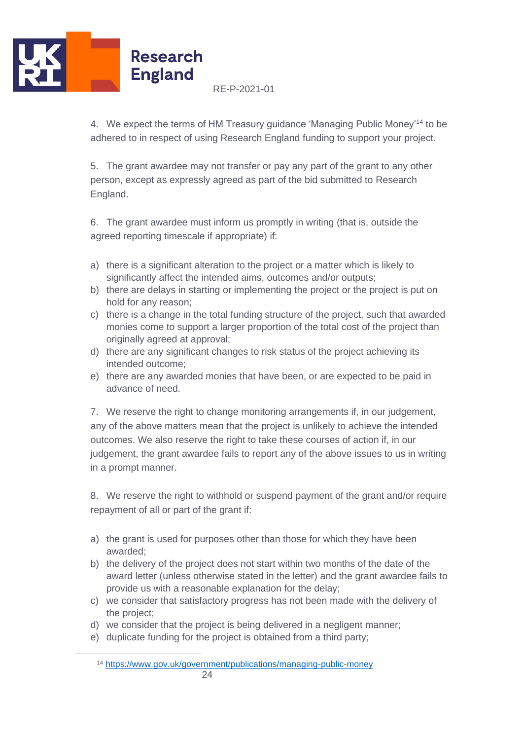

4. We expect the terms of HM Treasury guidance 'Managing Public Money'<sup>14</sup> to be adhered to in respect of using Research England funding to support your project.

5. The grant awardee may not transfer or pay any part of the grant to any other person, except as expressly agreed as part of the bid submitted to Research England.

6. The grant awardee must inform us promptly in writing (that is, outside the agreed reporting timescale if appropriate) if:

- a) there is a significant alteration to the project or a matter which is likely to significantly affect the intended aims, outcomes and/or outputs;
- b) there are delays in starting or implementing the project or the project is put on hold for any reason;
- c) there is a change in the total funding structure of the project, such that awarded monies come to support a larger proportion of the total cost of the project than originally agreed at approval;
- d) there are any significant changes to risk status of the project achieving its intended outcome;
- e) there are any awarded monies that have been, or are expected to be paid in advance of need.

7. We reserve the right to change monitoring arrangements if, in our judgement, any of the above matters mean that the project is unlikely to achieve the intended outcomes. We also reserve the right to take these courses of action if, in our judgement, the grant awardee fails to report any of the above issues to us in writing in a prompt manner.

8. We reserve the right to withhold or suspend payment of the grant and/or require repayment of all or part of the grant if:

- a) the grant is used for purposes other than those for which they have been awarded;
- b) the delivery of the project does not start within two months of the date of the award letter (unless otherwise stated in the letter) and the grant awardee fails to provide us with a reasonable explanation for the delay;
- c) we consider that satisfactory progress has not been made with the delivery of the project;
- d) we consider that the project is being delivered in a negligent manner;
- e) duplicate funding for the project is obtained from a third party;

<sup>14</sup> <https://www.gov.uk/government/publications/managing-public-money>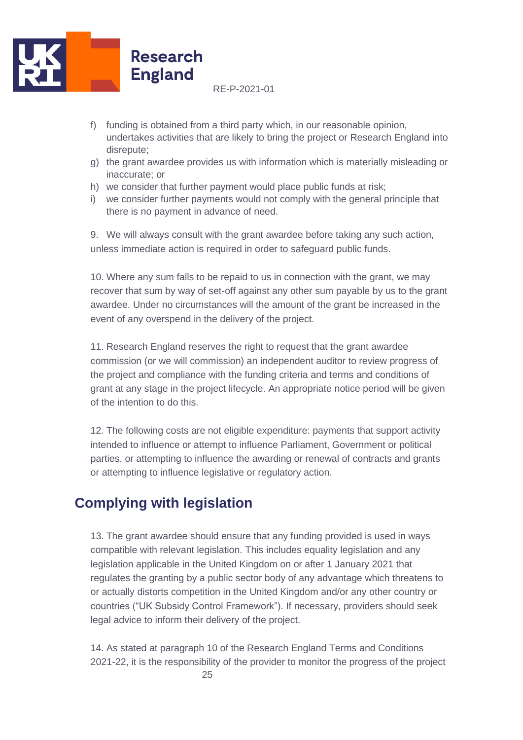

- f) funding is obtained from a third party which, in our reasonable opinion, undertakes activities that are likely to bring the project or Research England into disrepute;
- g) the grant awardee provides us with information which is materially misleading or inaccurate; or
- h) we consider that further payment would place public funds at risk;
- i) we consider further payments would not comply with the general principle that there is no payment in advance of need.

9. We will always consult with the grant awardee before taking any such action, unless immediate action is required in order to safeguard public funds.

10. Where any sum falls to be repaid to us in connection with the grant, we may recover that sum by way of set-off against any other sum payable by us to the grant awardee. Under no circumstances will the amount of the grant be increased in the event of any overspend in the delivery of the project.

11. Research England reserves the right to request that the grant awardee commission (or we will commission) an independent auditor to review progress of the project and compliance with the funding criteria and terms and conditions of grant at any stage in the project lifecycle. An appropriate notice period will be given of the intention to do this.

12. The following costs are not eligible expenditure: payments that support activity intended to influence or attempt to influence Parliament, Government or political parties, or attempting to influence the awarding or renewal of contracts and grants or attempting to influence legislative or regulatory action.

# <span id="page-24-0"></span>**Complying with legislation**

13. The grant awardee should ensure that any funding provided is used in ways compatible with relevant legislation. This includes equality legislation and any legislation applicable in the United Kingdom on or after 1 January 2021 that regulates the granting by a public sector body of any advantage which threatens to or actually distorts competition in the United Kingdom and/or any other country or countries ("UK Subsidy Control Framework"). If necessary, providers should seek legal advice to inform their delivery of the project.

14. As stated at paragraph 10 of the Research England Terms and Conditions 2021-22, it is the responsibility of the provider to monitor the progress of the project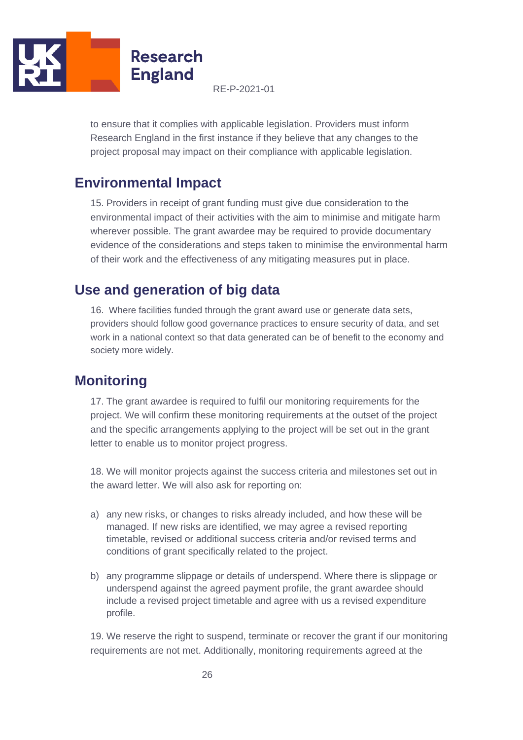

to ensure that it complies with applicable legislation. Providers must inform Research England in the first instance if they believe that any changes to the project proposal may impact on their compliance with applicable legislation.

### <span id="page-25-0"></span>**Environmental Impact**

15. Providers in receipt of grant funding must give due consideration to the environmental impact of their activities with the aim to minimise and mitigate harm wherever possible. The grant awardee may be required to provide documentary evidence of the considerations and steps taken to minimise the environmental harm of their work and the effectiveness of any mitigating measures put in place.

# <span id="page-25-1"></span>**Use and generation of big data**

16. Where facilities funded through the grant award use or generate data sets, providers should follow good governance practices to ensure security of data, and set work in a national context so that data generated can be of benefit to the economy and society more widely.

# <span id="page-25-2"></span>**Monitoring**

17. The grant awardee is required to fulfil our monitoring requirements for the project. We will confirm these monitoring requirements at the outset of the project and the specific arrangements applying to the project will be set out in the grant letter to enable us to monitor project progress.

18. We will monitor projects against the success criteria and milestones set out in the award letter. We will also ask for reporting on:

- a) any new risks, or changes to risks already included, and how these will be managed. If new risks are identified, we may agree a revised reporting timetable, revised or additional success criteria and/or revised terms and conditions of grant specifically related to the project.
- b) any programme slippage or details of underspend. Where there is slippage or underspend against the agreed payment profile, the grant awardee should include a revised project timetable and agree with us a revised expenditure profile.

19. We reserve the right to suspend, terminate or recover the grant if our monitoring requirements are not met. Additionally, monitoring requirements agreed at the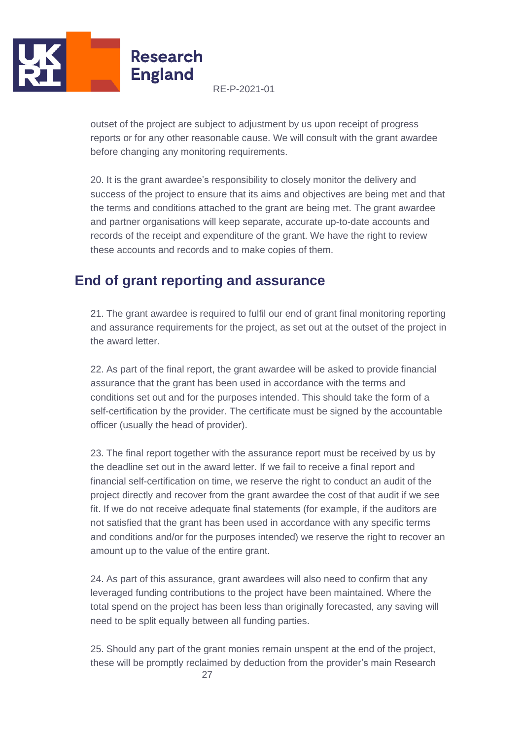

outset of the project are subject to adjustment by us upon receipt of progress reports or for any other reasonable cause. We will consult with the grant awardee before changing any monitoring requirements.

20. It is the grant awardee's responsibility to closely monitor the delivery and success of the project to ensure that its aims and objectives are being met and that the terms and conditions attached to the grant are being met. The grant awardee and partner organisations will keep separate, accurate up-to-date accounts and records of the receipt and expenditure of the grant. We have the right to review these accounts and records and to make copies of them.

# <span id="page-26-0"></span>**End of grant reporting and assurance**

21. The grant awardee is required to fulfil our end of grant final monitoring reporting and assurance requirements for the project, as set out at the outset of the project in the award letter.

22. As part of the final report, the grant awardee will be asked to provide financial assurance that the grant has been used in accordance with the terms and conditions set out and for the purposes intended. This should take the form of a self-certification by the provider. The certificate must be signed by the accountable officer (usually the head of provider).

23. The final report together with the assurance report must be received by us by the deadline set out in the award letter. If we fail to receive a final report and financial self-certification on time, we reserve the right to conduct an audit of the project directly and recover from the grant awardee the cost of that audit if we see fit. If we do not receive adequate final statements (for example, if the auditors are not satisfied that the grant has been used in accordance with any specific terms and conditions and/or for the purposes intended) we reserve the right to recover an amount up to the value of the entire grant.

24. As part of this assurance, grant awardees will also need to confirm that any leveraged funding contributions to the project have been maintained. Where the total spend on the project has been less than originally forecasted, any saving will need to be split equally between all funding parties.

25. Should any part of the grant monies remain unspent at the end of the project, these will be promptly reclaimed by deduction from the provider's main Research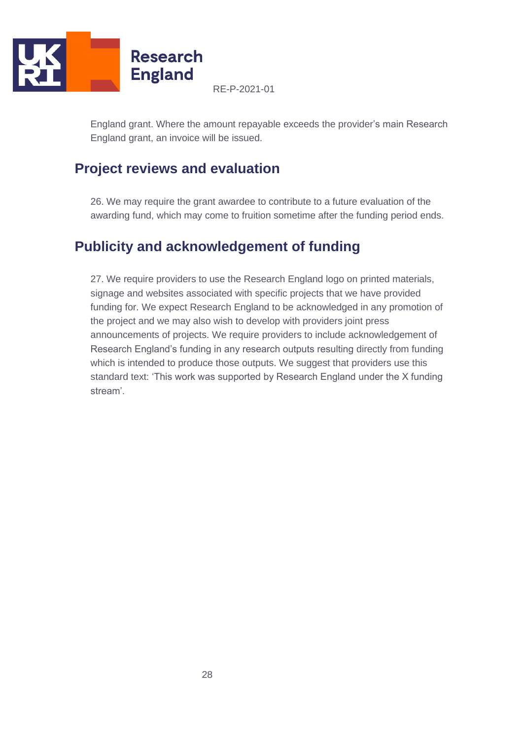

England grant. Where the amount repayable exceeds the provider's main Research England grant, an invoice will be issued.

# <span id="page-27-0"></span>**Project reviews and evaluation**

26. We may require the grant awardee to contribute to a future evaluation of the awarding fund, which may come to fruition sometime after the funding period ends.

# <span id="page-27-1"></span>**Publicity and acknowledgement of funding**

27. We require providers to use the Research England logo on printed materials, signage and websites associated with specific projects that we have provided funding for. We expect Research England to be acknowledged in any promotion of the project and we may also wish to develop with providers joint press announcements of projects. We require providers to include acknowledgement of Research England's funding in any research outputs resulting directly from funding which is intended to produce those outputs. We suggest that providers use this standard text: 'This work was supported by Research England under the X funding stream'.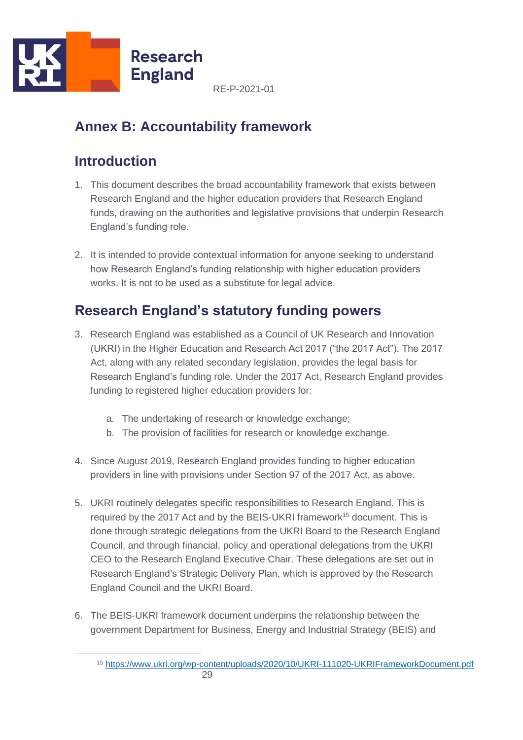

# <span id="page-28-0"></span>**Annex B: Accountability framework**

# <span id="page-28-1"></span>**Introduction**

- 1. This document describes the broad accountability framework that exists between Research England and the higher education providers that Research England funds, drawing on the authorities and legislative provisions that underpin Research England's funding role.
- 2. It is intended to provide contextual information for anyone seeking to understand how Research England's funding relationship with higher education providers works. It is not to be used as a substitute for legal advice.

# <span id="page-28-2"></span>**Research England's statutory funding powers**

- 3. Research England was established as a Council of UK Research and Innovation (UKRI) in the Higher Education and Research Act 2017 ("the 2017 Act"). The 2017 Act, along with any related secondary legislation, provides the legal basis for Research England's funding role. Under the 2017 Act, Research England provides funding to registered higher education providers for:
	- a. The undertaking of research or knowledge exchange;
	- b. The provision of facilities for research or knowledge exchange.
- 4. Since August 2019, Research England provides funding to higher education providers in line with provisions under Section 97 of the 2017 Act, as above.
- 5. UKRI routinely delegates specific responsibilities to Research England. This is required by the 2017 Act and by the BEIS-UKRI framework<sup>15</sup> document. This is done through strategic delegations from the UKRI Board to the Research England Council, and through financial, policy and operational delegations from the UKRI CEO to the Research England Executive Chair. These delegations are set out in Research England's Strategic Delivery Plan, which is approved by the Research England Council and the UKRI Board.
- 6. The BEIS-UKRI framework document underpins the relationship between the government Department for Business, Energy and Industrial Strategy (BEIS) and

<sup>29</sup> <sup>15</sup> <https://www.ukri.org/wp-content/uploads/2020/10/UKRI-111020-UKRIFrameworkDocument.pdf>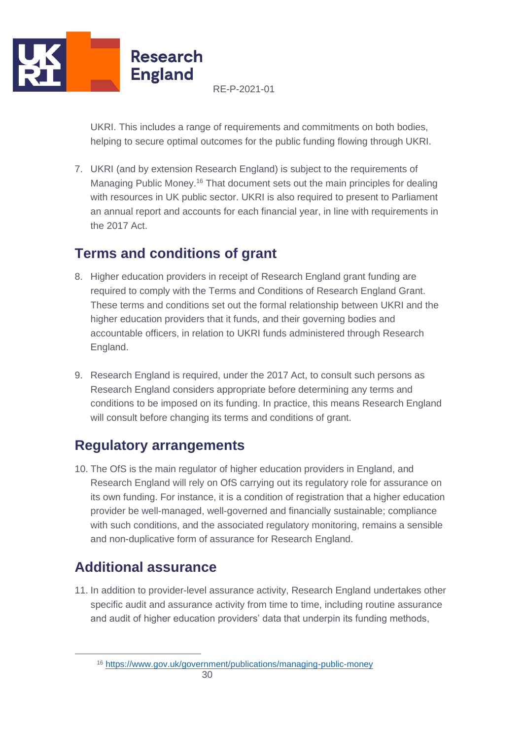

UKRI. This includes a range of requirements and commitments on both bodies, helping to secure optimal outcomes for the public funding flowing through UKRI.

7. UKRI (and by extension Research England) is subject to the requirements of Managing Public Money.<sup>16</sup> That document sets out the main principles for dealing with resources in UK public sector. UKRI is also required to present to Parliament an annual report and accounts for each financial year, in line with requirements in the 2017 Act.

# <span id="page-29-0"></span>**Terms and conditions of grant**

- 8. Higher education providers in receipt of Research England grant funding are required to comply with the Terms and Conditions of Research England Grant. These terms and conditions set out the formal relationship between UKRI and the higher education providers that it funds, and their governing bodies and accountable officers, in relation to UKRI funds administered through Research England.
- 9. Research England is required, under the 2017 Act, to consult such persons as Research England considers appropriate before determining any terms and conditions to be imposed on its funding. In practice, this means Research England will consult before changing its terms and conditions of grant.

# <span id="page-29-1"></span>**Regulatory arrangements**

10. The OfS is the main regulator of higher education providers in England, and Research England will rely on OfS carrying out its regulatory role for assurance on its own funding. For instance, it is a condition of registration that a higher education provider be well-managed, well-governed and financially sustainable; compliance with such conditions, and the associated regulatory monitoring, remains a sensible and non-duplicative form of assurance for Research England.

# <span id="page-29-2"></span>**Additional assurance**

11. In addition to provider-level assurance activity, Research England undertakes other specific audit and assurance activity from time to time, including routine assurance and audit of higher education providers' data that underpin its funding methods,

<sup>16</sup> <https://www.gov.uk/government/publications/managing-public-money>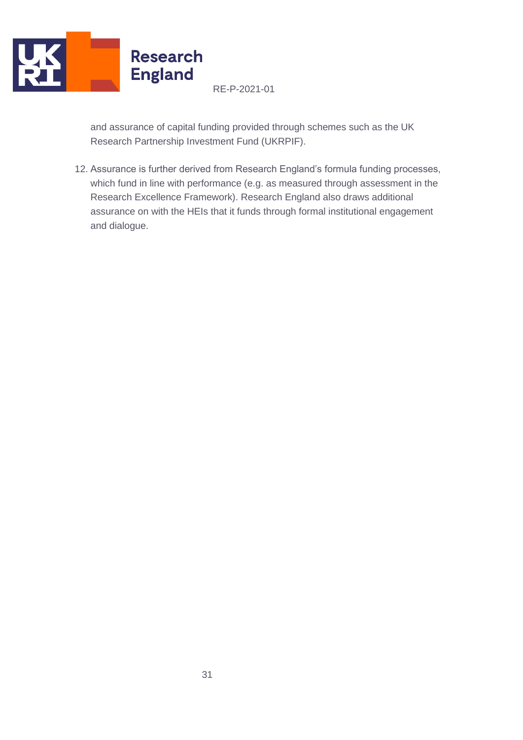

and assurance of capital funding provided through schemes such as the UK Research Partnership Investment Fund (UKRPIF).

12. Assurance is further derived from Research England's formula funding processes, which fund in line with performance (e.g. as measured through assessment in the Research Excellence Framework). Research England also draws additional assurance on with the HEIs that it funds through formal institutional engagement and dialogue.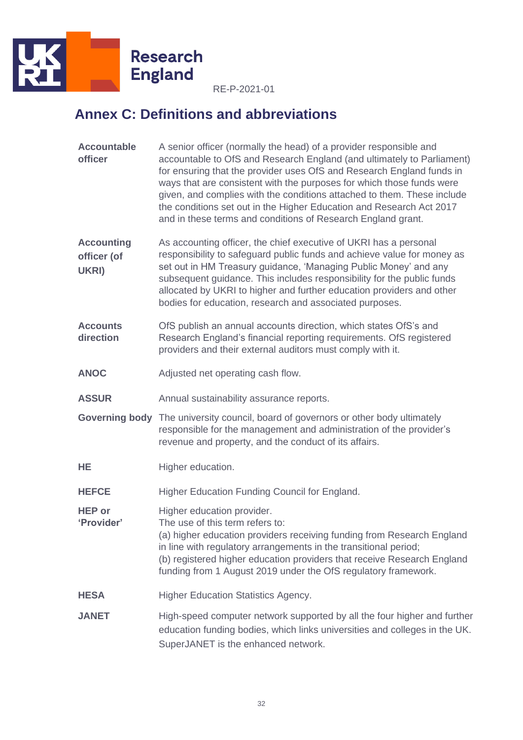

# <span id="page-31-0"></span>**Annex C: Definitions and abbreviations**

| <b>Accountable</b><br>officer             | A senior officer (normally the head) of a provider responsible and<br>accountable to OfS and Research England (and ultimately to Parliament)<br>for ensuring that the provider uses OfS and Research England funds in<br>ways that are consistent with the purposes for which those funds were<br>given, and complies with the conditions attached to them. These include<br>the conditions set out in the Higher Education and Research Act 2017<br>and in these terms and conditions of Research England grant. |
|-------------------------------------------|-------------------------------------------------------------------------------------------------------------------------------------------------------------------------------------------------------------------------------------------------------------------------------------------------------------------------------------------------------------------------------------------------------------------------------------------------------------------------------------------------------------------|
| <b>Accounting</b><br>officer (of<br>UKRI) | As accounting officer, the chief executive of UKRI has a personal<br>responsibility to safeguard public funds and achieve value for money as<br>set out in HM Treasury guidance, 'Managing Public Money' and any<br>subsequent guidance. This includes responsibility for the public funds<br>allocated by UKRI to higher and further education providers and other<br>bodies for education, research and associated purposes.                                                                                    |
| <b>Accounts</b><br>direction              | OfS publish an annual accounts direction, which states OfS's and<br>Research England's financial reporting requirements. OfS registered<br>providers and their external auditors must comply with it.                                                                                                                                                                                                                                                                                                             |
| <b>ANOC</b>                               | Adjusted net operating cash flow.                                                                                                                                                                                                                                                                                                                                                                                                                                                                                 |
| <b>ASSUR</b>                              | Annual sustainability assurance reports.                                                                                                                                                                                                                                                                                                                                                                                                                                                                          |
|                                           | Governing body The university council, board of governors or other body ultimately<br>responsible for the management and administration of the provider's<br>revenue and property, and the conduct of its affairs.                                                                                                                                                                                                                                                                                                |
| HE                                        | Higher education.                                                                                                                                                                                                                                                                                                                                                                                                                                                                                                 |
| <b>HEFCE</b>                              | Higher Education Funding Council for England.                                                                                                                                                                                                                                                                                                                                                                                                                                                                     |
| <b>HEP or</b><br>'Provider'               | Higher education provider.<br>The use of this term refers to:<br>(a) higher education providers receiving funding from Research England<br>in line with regulatory arrangements in the transitional period;<br>(b) registered higher education providers that receive Research England<br>funding from 1 August 2019 under the OfS regulatory framework.                                                                                                                                                          |
| <b>HESA</b>                               | <b>Higher Education Statistics Agency.</b>                                                                                                                                                                                                                                                                                                                                                                                                                                                                        |
| <b>JANET</b>                              | High-speed computer network supported by all the four higher and further<br>education funding bodies, which links universities and colleges in the UK.<br>SuperJANET is the enhanced network.                                                                                                                                                                                                                                                                                                                     |